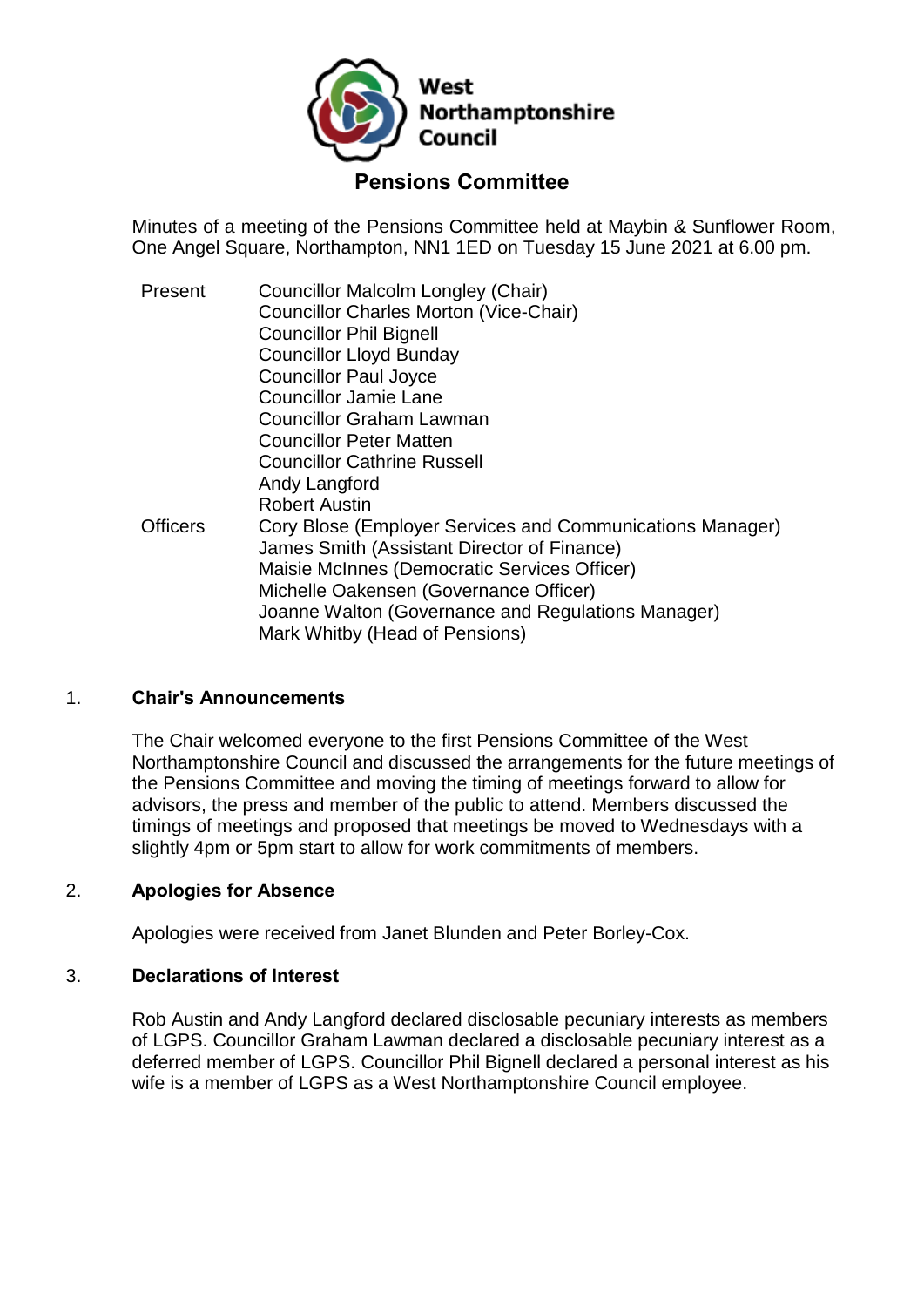

# **Pensions Committee**

Minutes of a meeting of the Pensions Committee held at Maybin & Sunflower Room, One Angel Square, Northampton, NN1 1ED on Tuesday 15 June 2021 at 6.00 pm.

Present Councillor Malcolm Longley (Chair) Councillor Charles Morton (Vice-Chair) Councillor Phil Bignell Councillor Lloyd Bunday Councillor Paul Joyce Councillor Jamie Lane Councillor Graham Lawman Councillor Peter Matten Councillor Cathrine Russell Andy Langford Robert Austin Officers Cory Blose (Employer Services and Communications Manager) James Smith (Assistant Director of Finance) Maisie McInnes (Democratic Services Officer) Michelle Oakensen (Governance Officer) Joanne Walton (Governance and Regulations Manager) Mark Whitby (Head of Pensions)

### 1. **Chair's Announcements**

The Chair welcomed everyone to the first Pensions Committee of the West Northamptonshire Council and discussed the arrangements for the future meetings of the Pensions Committee and moving the timing of meetings forward to allow for advisors, the press and member of the public to attend. Members discussed the timings of meetings and proposed that meetings be moved to Wednesdays with a slightly 4pm or 5pm start to allow for work commitments of members.

### 2. **Apologies for Absence**

Apologies were received from Janet Blunden and Peter Borley-Cox.

#### 3. **Declarations of Interest**

Rob Austin and Andy Langford declared disclosable pecuniary interests as members of LGPS. Councillor Graham Lawman declared a disclosable pecuniary interest as a deferred member of LGPS. Councillor Phil Bignell declared a personal interest as his wife is a member of LGPS as a West Northamptonshire Council employee.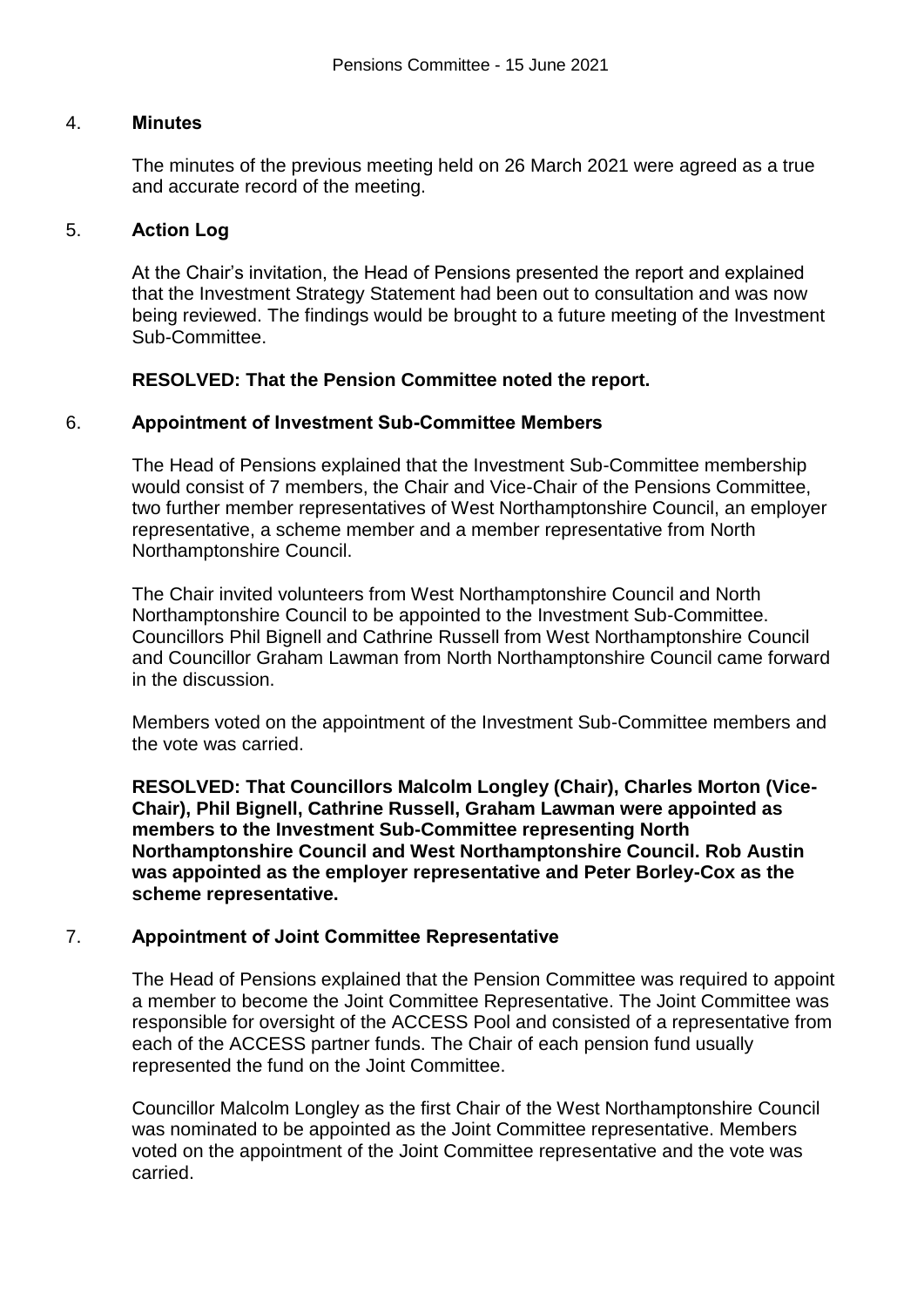### 4. **Minutes**

The minutes of the previous meeting held on 26 March 2021 were agreed as a true and accurate record of the meeting.

### 5. **Action Log**

At the Chair's invitation, the Head of Pensions presented the report and explained that the Investment Strategy Statement had been out to consultation and was now being reviewed. The findings would be brought to a future meeting of the Investment Sub-Committee.

### **RESOLVED: That the Pension Committee noted the report.**

#### 6. **Appointment of Investment Sub-Committee Members**

The Head of Pensions explained that the Investment Sub-Committee membership would consist of 7 members, the Chair and Vice-Chair of the Pensions Committee, two further member representatives of West Northamptonshire Council, an employer representative, a scheme member and a member representative from North Northamptonshire Council.

The Chair invited volunteers from West Northamptonshire Council and North Northamptonshire Council to be appointed to the Investment Sub-Committee. Councillors Phil Bignell and Cathrine Russell from West Northamptonshire Council and Councillor Graham Lawman from North Northamptonshire Council came forward in the discussion.

Members voted on the appointment of the Investment Sub-Committee members and the vote was carried.

**RESOLVED: That Councillors Malcolm Longley (Chair), Charles Morton (Vice-Chair), Phil Bignell, Cathrine Russell, Graham Lawman were appointed as members to the Investment Sub-Committee representing North Northamptonshire Council and West Northamptonshire Council. Rob Austin was appointed as the employer representative and Peter Borley-Cox as the scheme representative.** 

### 7. **Appointment of Joint Committee Representative**

The Head of Pensions explained that the Pension Committee was required to appoint a member to become the Joint Committee Representative. The Joint Committee was responsible for oversight of the ACCESS Pool and consisted of a representative from each of the ACCESS partner funds. The Chair of each pension fund usually represented the fund on the Joint Committee.

Councillor Malcolm Longley as the first Chair of the West Northamptonshire Council was nominated to be appointed as the Joint Committee representative. Members voted on the appointment of the Joint Committee representative and the vote was carried.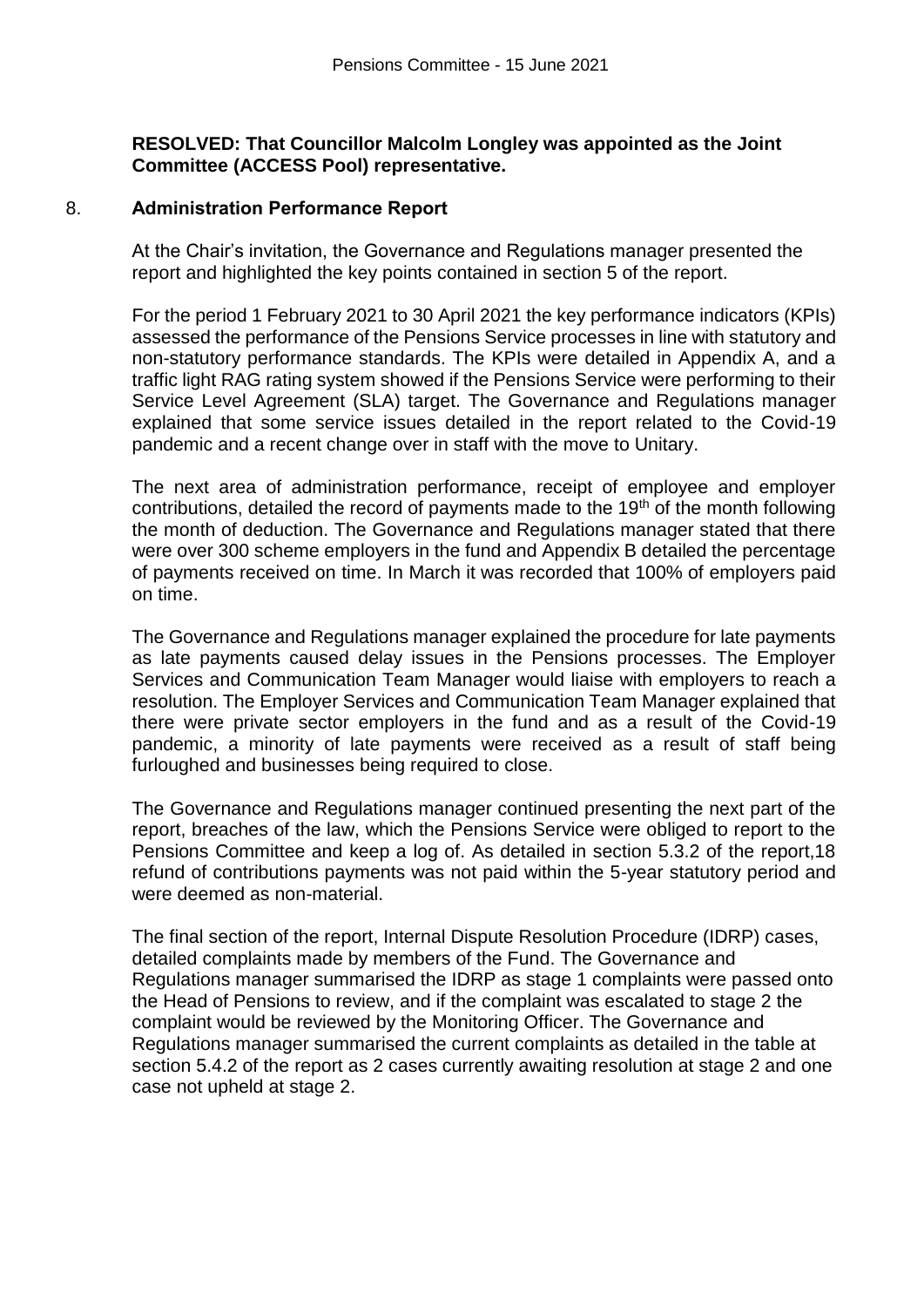### **RESOLVED: That Councillor Malcolm Longley was appointed as the Joint Committee (ACCESS Pool) representative.**

#### 8. **Administration Performance Report**

At the Chair's invitation, the Governance and Regulations manager presented the report and highlighted the key points contained in section 5 of the report.

For the period 1 February 2021 to 30 April 2021 the key performance indicators (KPIs) assessed the performance of the Pensions Service processes in line with statutory and non-statutory performance standards. The KPIs were detailed in Appendix A, and a traffic light RAG rating system showed if the Pensions Service were performing to their Service Level Agreement (SLA) target. The Governance and Regulations manager explained that some service issues detailed in the report related to the Covid-19 pandemic and a recent change over in staff with the move to Unitary.

The next area of administration performance, receipt of employee and employer contributions, detailed the record of payments made to the 19<sup>th</sup> of the month following the month of deduction. The Governance and Regulations manager stated that there were over 300 scheme employers in the fund and Appendix B detailed the percentage of payments received on time. In March it was recorded that 100% of employers paid on time.

The Governance and Regulations manager explained the procedure for late payments as late payments caused delay issues in the Pensions processes. The Employer Services and Communication Team Manager would liaise with employers to reach a resolution. The Employer Services and Communication Team Manager explained that there were private sector employers in the fund and as a result of the Covid-19 pandemic, a minority of late payments were received as a result of staff being furloughed and businesses being required to close.

The Governance and Regulations manager continued presenting the next part of the report, breaches of the law, which the Pensions Service were obliged to report to the Pensions Committee and keep a log of. As detailed in section 5.3.2 of the report,18 refund of contributions payments was not paid within the 5-year statutory period and were deemed as non-material.

The final section of the report, Internal Dispute Resolution Procedure (IDRP) cases, detailed complaints made by members of the Fund. The Governance and Regulations manager summarised the IDRP as stage 1 complaints were passed onto the Head of Pensions to review, and if the complaint was escalated to stage 2 the complaint would be reviewed by the Monitoring Officer. The Governance and Regulations manager summarised the current complaints as detailed in the table at section 5.4.2 of the report as 2 cases currently awaiting resolution at stage 2 and one case not upheld at stage 2.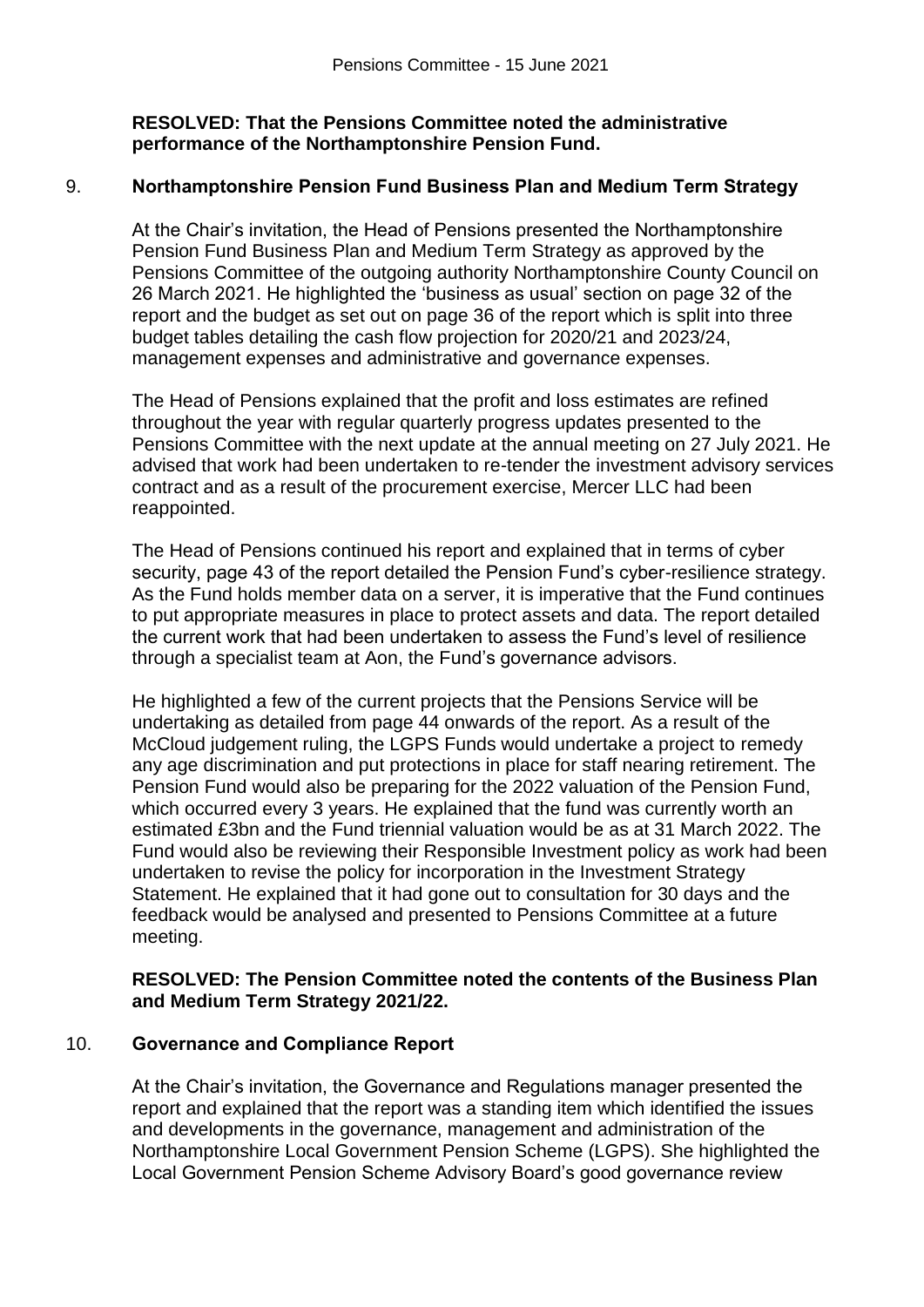## **RESOLVED: That the Pensions Committee noted the administrative performance of the Northamptonshire Pension Fund.**

## 9. **Northamptonshire Pension Fund Business Plan and Medium Term Strategy**

At the Chair's invitation, the Head of Pensions presented the Northamptonshire Pension Fund Business Plan and Medium Term Strategy as approved by the Pensions Committee of the outgoing authority Northamptonshire County Council on 26 March 2021. He highlighted the 'business as usual' section on page 32 of the report and the budget as set out on page 36 of the report which is split into three budget tables detailing the cash flow projection for 2020/21 and 2023/24, management expenses and administrative and governance expenses.

The Head of Pensions explained that the profit and loss estimates are refined throughout the year with regular quarterly progress updates presented to the Pensions Committee with the next update at the annual meeting on 27 July 2021. He advised that work had been undertaken to re-tender the investment advisory services contract and as a result of the procurement exercise, Mercer LLC had been reappointed.

The Head of Pensions continued his report and explained that in terms of cyber security, page 43 of the report detailed the Pension Fund's cyber-resilience strategy. As the Fund holds member data on a server, it is imperative that the Fund continues to put appropriate measures in place to protect assets and data. The report detailed the current work that had been undertaken to assess the Fund's level of resilience through a specialist team at Aon, the Fund's governance advisors.

He highlighted a few of the current projects that the Pensions Service will be undertaking as detailed from page 44 onwards of the report. As a result of the McCloud judgement ruling, the LGPS Funds would undertake a project to remedy any age discrimination and put protections in place for staff nearing retirement. The Pension Fund would also be preparing for the 2022 valuation of the Pension Fund, which occurred every 3 years. He explained that the fund was currently worth an estimated £3bn and the Fund triennial valuation would be as at 31 March 2022. The Fund would also be reviewing their Responsible Investment policy as work had been undertaken to revise the policy for incorporation in the Investment Strategy Statement. He explained that it had gone out to consultation for 30 days and the feedback would be analysed and presented to Pensions Committee at a future meeting.

## **RESOLVED: The Pension Committee noted the contents of the Business Plan and Medium Term Strategy 2021/22.**

# 10. **Governance and Compliance Report**

At the Chair's invitation, the Governance and Regulations manager presented the report and explained that the report was a standing item which identified the issues and developments in the governance, management and administration of the Northamptonshire Local Government Pension Scheme (LGPS). She highlighted the Local Government Pension Scheme Advisory Board's good governance review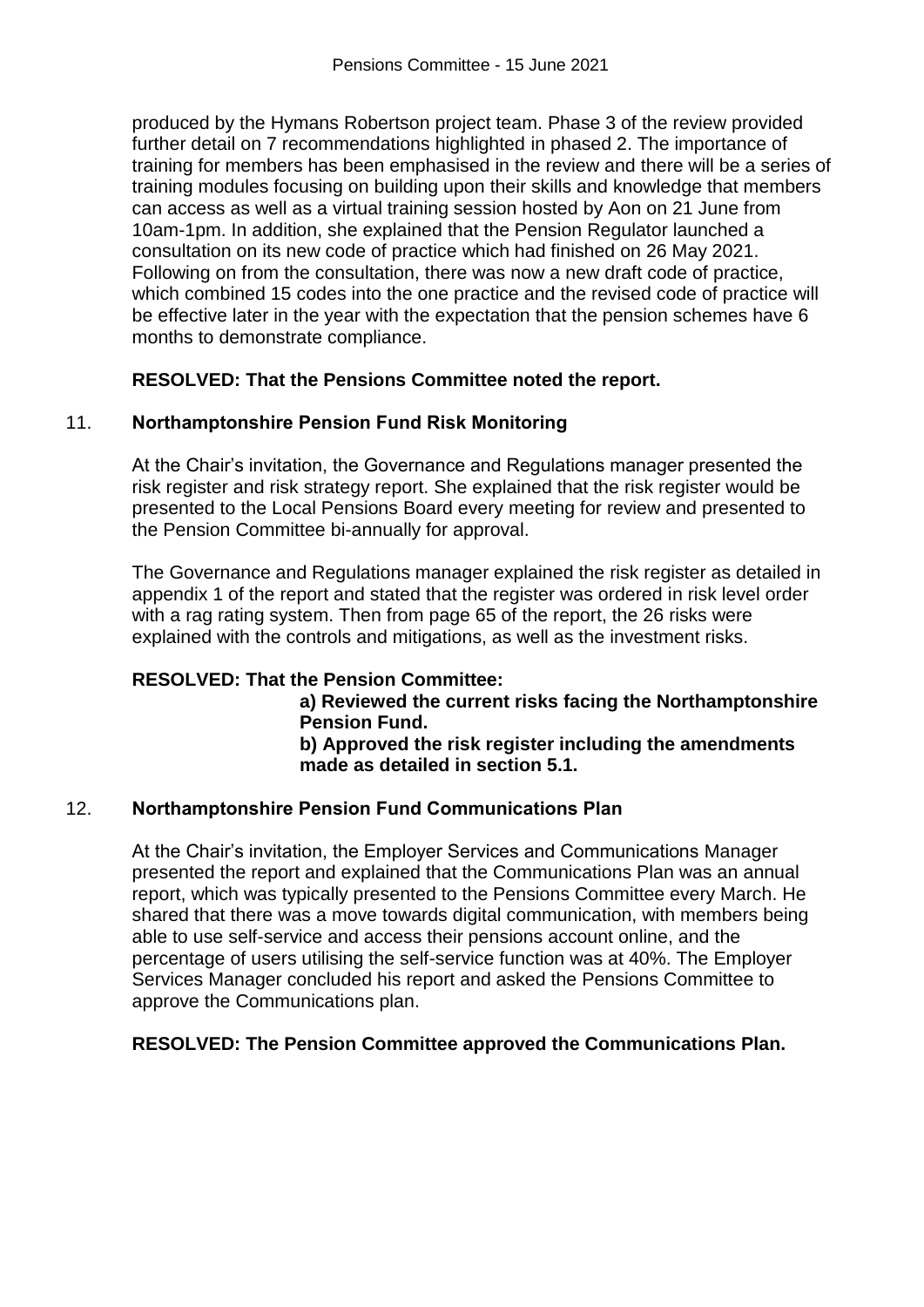produced by the Hymans Robertson project team. Phase 3 of the review provided further detail on 7 recommendations highlighted in phased 2. The importance of training for members has been emphasised in the review and there will be a series of training modules focusing on building upon their skills and knowledge that members can access as well as a virtual training session hosted by Aon on 21 June from 10am-1pm. In addition, she explained that the Pension Regulator launched a consultation on its new code of practice which had finished on 26 May 2021. Following on from the consultation, there was now a new draft code of practice, which combined 15 codes into the one practice and the revised code of practice will be effective later in the year with the expectation that the pension schemes have 6 months to demonstrate compliance.

## **RESOLVED: That the Pensions Committee noted the report.**

## 11. **Northamptonshire Pension Fund Risk Monitoring**

At the Chair's invitation, the Governance and Regulations manager presented the risk register and risk strategy report. She explained that the risk register would be presented to the Local Pensions Board every meeting for review and presented to the Pension Committee bi-annually for approval.

The Governance and Regulations manager explained the risk register as detailed in appendix 1 of the report and stated that the register was ordered in risk level order with a rag rating system. Then from page 65 of the report, the 26 risks were explained with the controls and mitigations, as well as the investment risks.

# **RESOLVED: That the Pension Committee:**

**a) Reviewed the current risks facing the Northamptonshire Pension Fund. b) Approved the risk register including the amendments** 

**made as detailed in section 5.1.**

# 12. **Northamptonshire Pension Fund Communications Plan**

At the Chair's invitation, the Employer Services and Communications Manager presented the report and explained that the Communications Plan was an annual report, which was typically presented to the Pensions Committee every March. He shared that there was a move towards digital communication, with members being able to use self-service and access their pensions account online, and the percentage of users utilising the self-service function was at 40%. The Employer Services Manager concluded his report and asked the Pensions Committee to approve the Communications plan.

### **RESOLVED: The Pension Committee approved the Communications Plan.**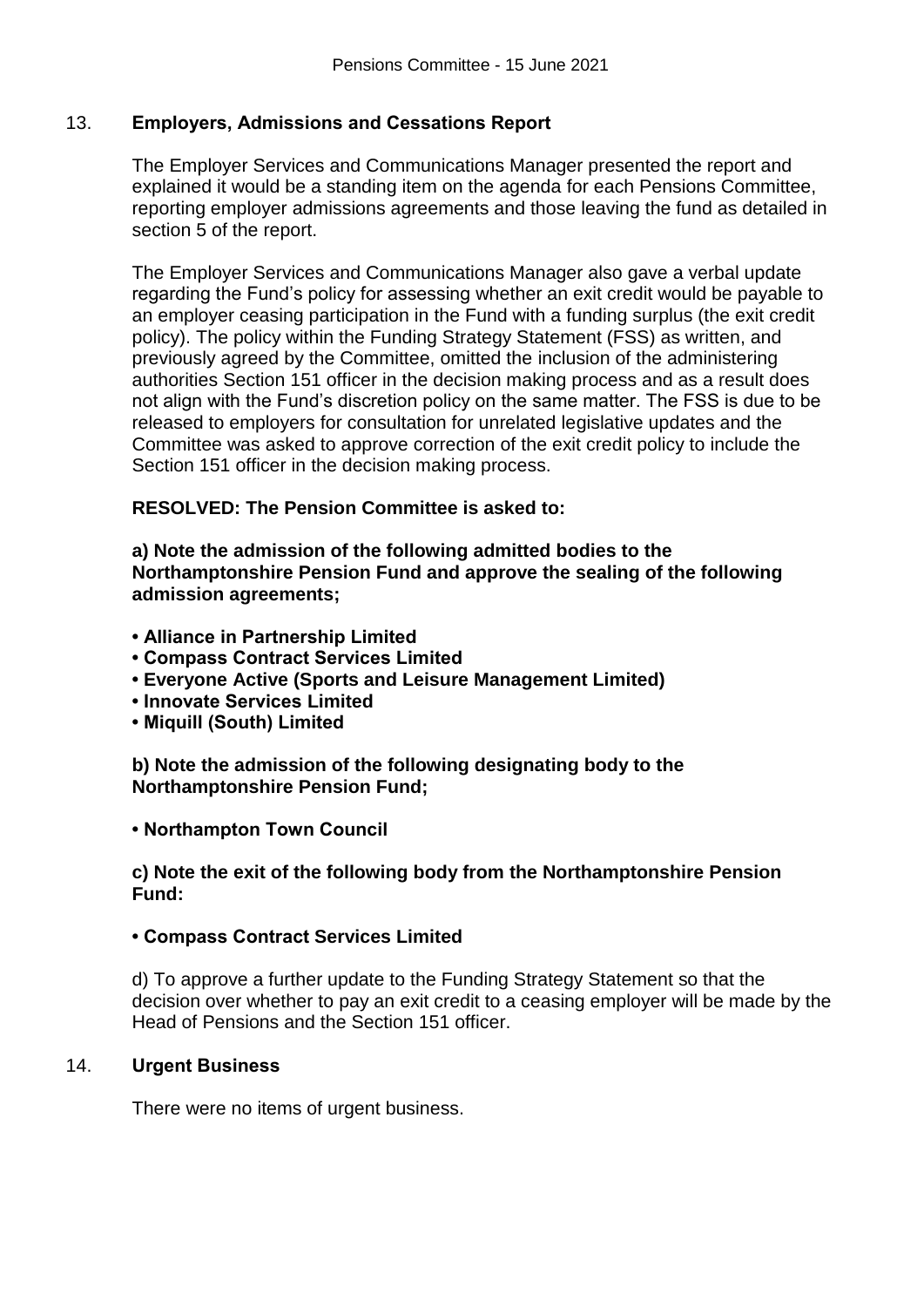## 13. **Employers, Admissions and Cessations Report**

The Employer Services and Communications Manager presented the report and explained it would be a standing item on the agenda for each Pensions Committee, reporting employer admissions agreements and those leaving the fund as detailed in section 5 of the report.

The Employer Services and Communications Manager also gave a verbal update regarding the Fund's policy for assessing whether an exit credit would be payable to an employer ceasing participation in the Fund with a funding surplus (the exit credit policy). The policy within the Funding Strategy Statement (FSS) as written, and previously agreed by the Committee, omitted the inclusion of the administering authorities Section 151 officer in the decision making process and as a result does not align with the Fund's discretion policy on the same matter. The FSS is due to be released to employers for consultation for unrelated legislative updates and the Committee was asked to approve correction of the exit credit policy to include the Section 151 officer in the decision making process.

## **RESOLVED: The Pension Committee is asked to:**

**a) Note the admission of the following admitted bodies to the Northamptonshire Pension Fund and approve the sealing of the following admission agreements;**

- **Alliance in Partnership Limited**
- **Compass Contract Services Limited**
- **• Everyone Active (Sports and Leisure Management Limited)**
- **Innovate Services Limited**
- **Miquill (South) Limited**

**b) Note the admission of the following designating body to the Northamptonshire Pension Fund;**

### **• Northampton Town Council**

### **c) Note the exit of the following body from the Northamptonshire Pension Fund:**

### **• Compass Contract Services Limited**

d) To approve a further update to the Funding Strategy Statement so that the decision over whether to pay an exit credit to a ceasing employer will be made by the Head of Pensions and the Section 151 officer.

### 14. **Urgent Business**

There were no items of urgent business.